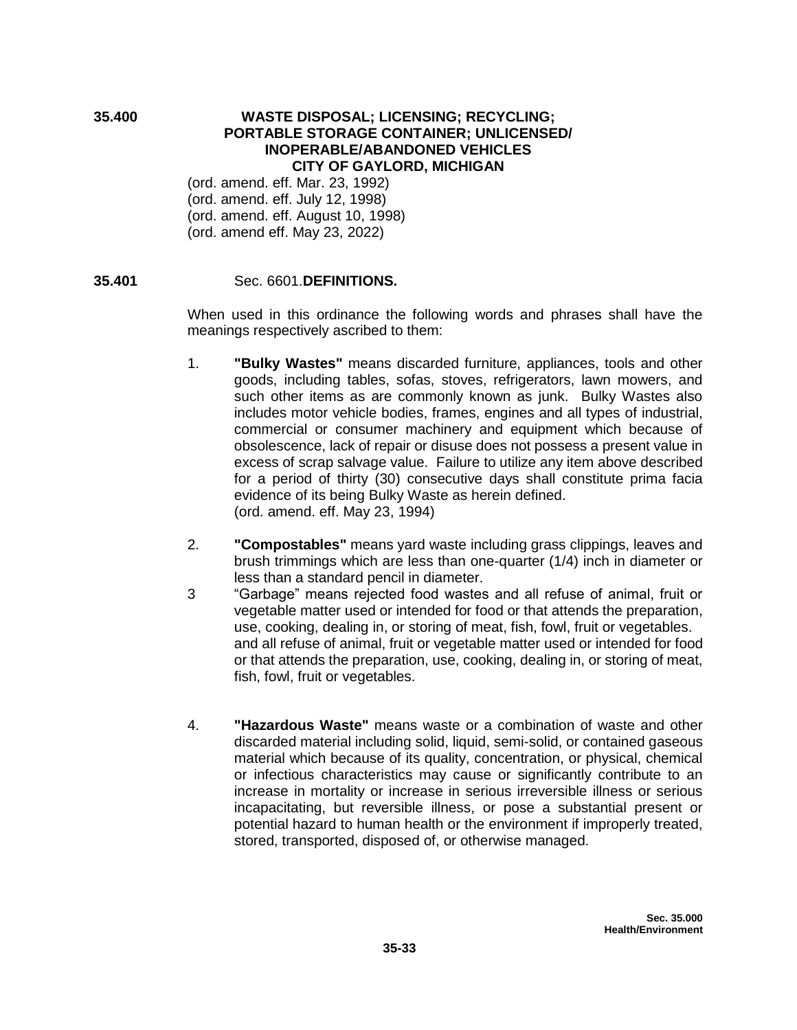### **35.400 WASTE DISPOSAL; LICENSING; RECYCLING; PORTABLE STORAGE CONTAINER; UNLICENSED/ INOPERABLE/ABANDONED VEHICLES CITY OF GAYLORD, MICHIGAN**

(ord. amend. eff. Mar. 23, 1992) (ord. amend. eff. July 12, 1998) (ord. amend. eff. August 10, 1998) (ord. amend eff. May 23, 2022)

## **35.401** Sec. 6601.**DEFINITIONS.**

When used in this ordinance the following words and phrases shall have the meanings respectively ascribed to them:

- 1. **"Bulky Wastes"** means discarded furniture, appliances, tools and other goods, including tables, sofas, stoves, refrigerators, lawn mowers, and such other items as are commonly known as junk. Bulky Wastes also includes motor vehicle bodies, frames, engines and all types of industrial, commercial or consumer machinery and equipment which because of obsolescence, lack of repair or disuse does not possess a present value in excess of scrap salvage value. Failure to utilize any item above described for a period of thirty (30) consecutive days shall constitute prima facia evidence of its being Bulky Waste as herein defined. (ord. amend. eff. May 23, 1994)
- 2. **"Compostables"** means yard waste including grass clippings, leaves and brush trimmings which are less than one-quarter (1/4) inch in diameter or less than a standard pencil in diameter.
- 3 "Garbage" means rejected food wastes and all refuse of animal, fruit or vegetable matter used or intended for food or that attends the preparation, use, cooking, dealing in, or storing of meat, fish, fowl, fruit or vegetables. and all refuse of animal, fruit or vegetable matter used or intended for food or that attends the preparation, use, cooking, dealing in, or storing of meat, fish, fowl, fruit or vegetables.
- 4. **"Hazardous Waste"** means waste or a combination of waste and other discarded material including solid, liquid, semi-solid, or contained gaseous material which because of its quality, concentration, or physical, chemical or infectious characteristics may cause or significantly contribute to an increase in mortality or increase in serious irreversible illness or serious incapacitating, but reversible illness, or pose a substantial present or potential hazard to human health or the environment if improperly treated, stored, transported, disposed of, or otherwise managed.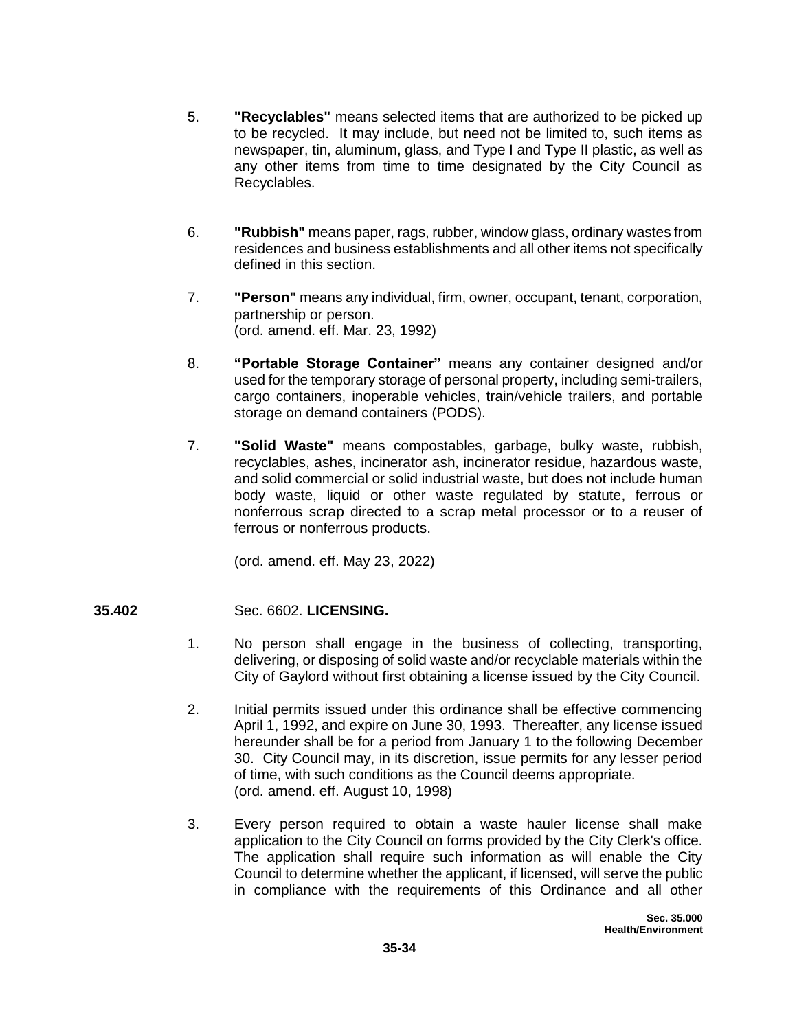- 5. **"Recyclables"** means selected items that are authorized to be picked up to be recycled. It may include, but need not be limited to, such items as newspaper, tin, aluminum, glass, and Type I and Type II plastic, as well as any other items from time to time designated by the City Council as Recyclables.
- 6. **"Rubbish"** means paper, rags, rubber, window glass, ordinary wastes from residences and business establishments and all other items not specifically defined in this section.
- 7. **"Person"** means any individual, firm, owner, occupant, tenant, corporation, partnership or person. (ord. amend. eff. Mar. 23, 1992)
- 8. **"Portable Storage Container"** means any container designed and/or used for the temporary storage of personal property, including semi-trailers, cargo containers, inoperable vehicles, train/vehicle trailers, and portable storage on demand containers (PODS).
- 7. **"Solid Waste"** means compostables, garbage, bulky waste, rubbish, recyclables, ashes, incinerator ash, incinerator residue, hazardous waste, and solid commercial or solid industrial waste, but does not include human body waste, liquid or other waste regulated by statute, ferrous or nonferrous scrap directed to a scrap metal processor or to a reuser of ferrous or nonferrous products.

(ord. amend. eff. May 23, 2022)

# **35.402** Sec. 6602. **LICENSING.**

- 1. No person shall engage in the business of collecting, transporting, delivering, or disposing of solid waste and/or recyclable materials within the City of Gaylord without first obtaining a license issued by the City Council.
- 2. Initial permits issued under this ordinance shall be effective commencing April 1, 1992, and expire on June 30, 1993. Thereafter, any license issued hereunder shall be for a period from January 1 to the following December 30. City Council may, in its discretion, issue permits for any lesser period of time, with such conditions as the Council deems appropriate. (ord. amend. eff. August 10, 1998)
- 3. Every person required to obtain a waste hauler license shall make application to the City Council on forms provided by the City Clerk's office. The application shall require such information as will enable the City Council to determine whether the applicant, if licensed, will serve the public in compliance with the requirements of this Ordinance and all other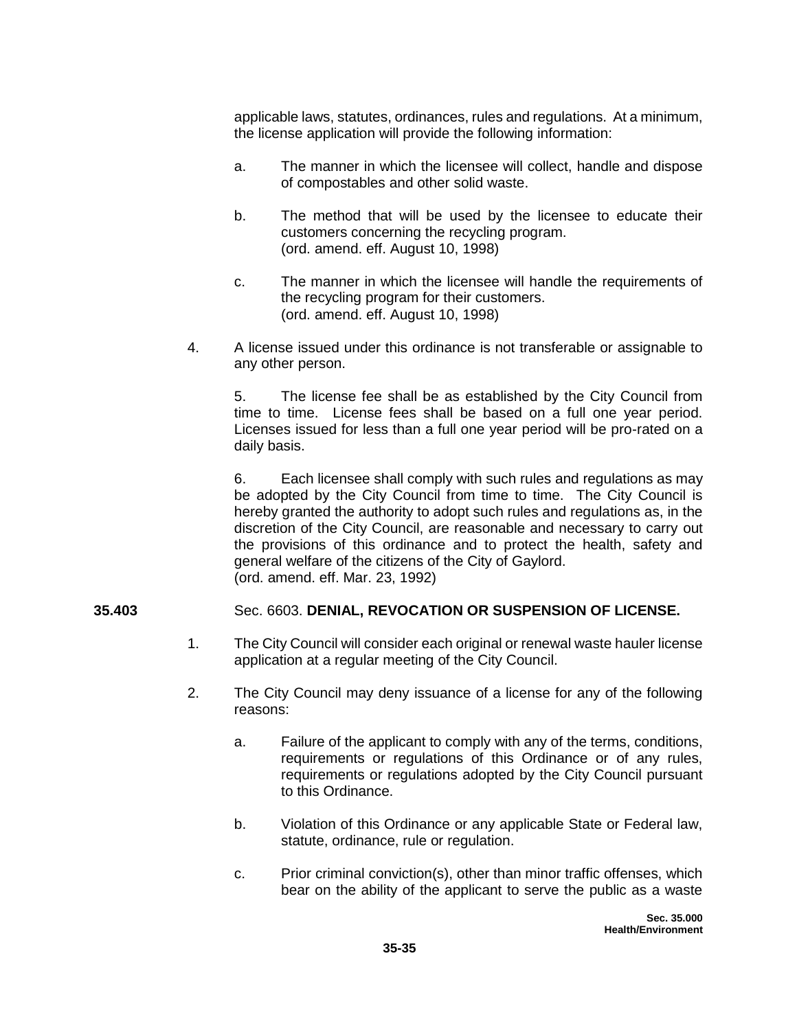applicable laws, statutes, ordinances, rules and regulations. At a minimum, the license application will provide the following information:

- a. The manner in which the licensee will collect, handle and dispose of compostables and other solid waste.
- b. The method that will be used by the licensee to educate their customers concerning the recycling program. (ord. amend. eff. August 10, 1998)
- c. The manner in which the licensee will handle the requirements of the recycling program for their customers. (ord. amend. eff. August 10, 1998)
- 4. A license issued under this ordinance is not transferable or assignable to any other person.

 5. The license fee shall be as established by the City Council from time to time. License fees shall be based on a full one year period. Licenses issued for less than a full one year period will be pro-rated on a daily basis.

 6. Each licensee shall comply with such rules and regulations as may be adopted by the City Council from time to time. The City Council is hereby granted the authority to adopt such rules and regulations as, in the discretion of the City Council, are reasonable and necessary to carry out the provisions of this ordinance and to protect the health, safety and general welfare of the citizens of the City of Gaylord. (ord. amend. eff. Mar. 23, 1992)

### **35.403** Sec. 6603. **DENIAL, REVOCATION OR SUSPENSION OF LICENSE.**

- 1. The City Council will consider each original or renewal waste hauler license application at a regular meeting of the City Council.
- 2. The City Council may deny issuance of a license for any of the following reasons:
	- a. Failure of the applicant to comply with any of the terms, conditions, requirements or regulations of this Ordinance or of any rules, requirements or regulations adopted by the City Council pursuant to this Ordinance.
	- b. Violation of this Ordinance or any applicable State or Federal law, statute, ordinance, rule or regulation.
	- c. Prior criminal conviction(s), other than minor traffic offenses, which bear on the ability of the applicant to serve the public as a waste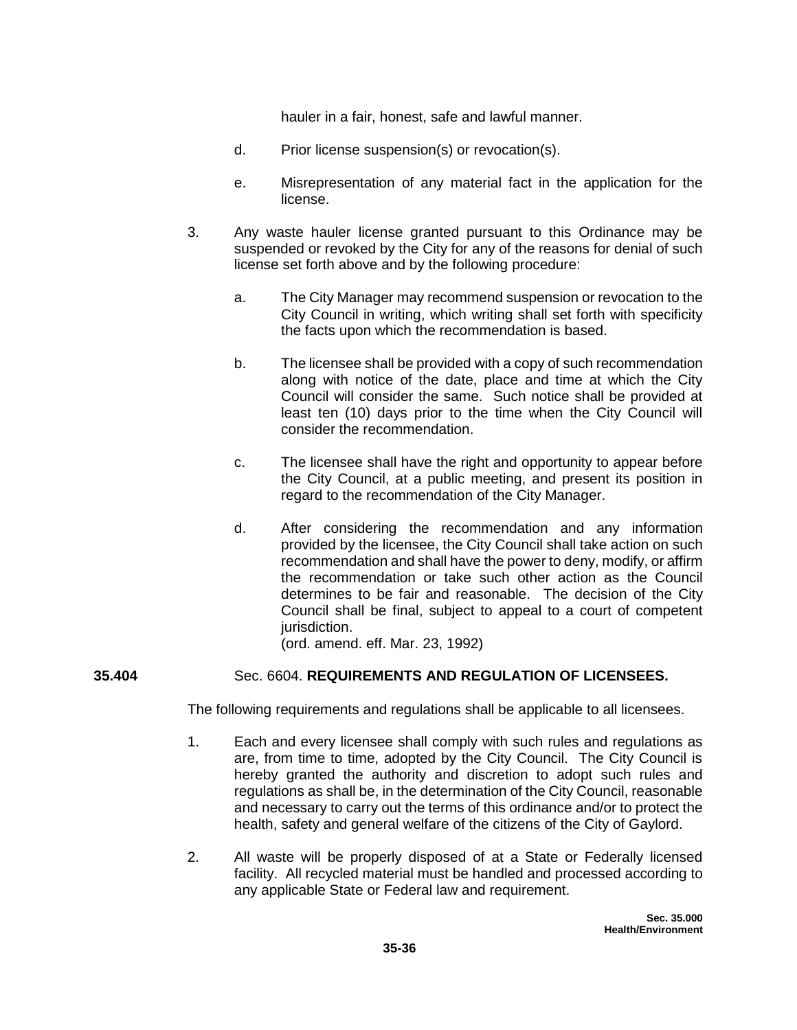hauler in a fair, honest, safe and lawful manner.

- d. Prior license suspension(s) or revocation(s).
- e. Misrepresentation of any material fact in the application for the license.
- 3. Any waste hauler license granted pursuant to this Ordinance may be suspended or revoked by the City for any of the reasons for denial of such license set forth above and by the following procedure:
	- a. The City Manager may recommend suspension or revocation to the City Council in writing, which writing shall set forth with specificity the facts upon which the recommendation is based.
	- b. The licensee shall be provided with a copy of such recommendation along with notice of the date, place and time at which the City Council will consider the same. Such notice shall be provided at least ten (10) days prior to the time when the City Council will consider the recommendation.
	- c. The licensee shall have the right and opportunity to appear before the City Council, at a public meeting, and present its position in regard to the recommendation of the City Manager.
	- d. After considering the recommendation and any information provided by the licensee, the City Council shall take action on such recommendation and shall have the power to deny, modify, or affirm the recommendation or take such other action as the Council determines to be fair and reasonable. The decision of the City Council shall be final, subject to appeal to a court of competent jurisdiction.

(ord. amend. eff. Mar. 23, 1992)

# **35.404** Sec. 6604. **REQUIREMENTS AND REGULATION OF LICENSEES.**

The following requirements and regulations shall be applicable to all licensees.

- 1. Each and every licensee shall comply with such rules and regulations as are, from time to time, adopted by the City Council. The City Council is hereby granted the authority and discretion to adopt such rules and regulations as shall be, in the determination of the City Council, reasonable and necessary to carry out the terms of this ordinance and/or to protect the health, safety and general welfare of the citizens of the City of Gaylord.
- 2. All waste will be properly disposed of at a State or Federally licensed facility. All recycled material must be handled and processed according to any applicable State or Federal law and requirement.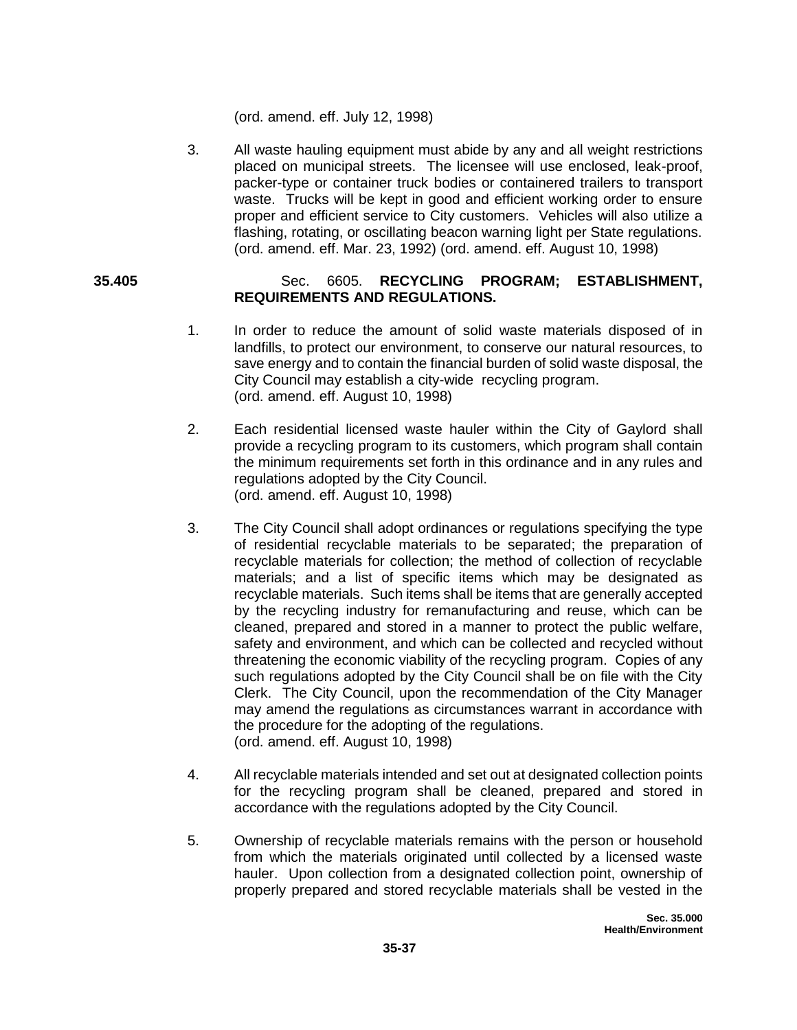(ord. amend. eff. July 12, 1998)

3. All waste hauling equipment must abide by any and all weight restrictions placed on municipal streets. The licensee will use enclosed, leak-proof, packer-type or container truck bodies or containered trailers to transport waste. Trucks will be kept in good and efficient working order to ensure proper and efficient service to City customers. Vehicles will also utilize a flashing, rotating, or oscillating beacon warning light per State regulations. (ord. amend. eff. Mar. 23, 1992) (ord. amend. eff. August 10, 1998)

## **35.405** Sec. 6605. **RECYCLING PROGRAM; ESTABLISHMENT, REQUIREMENTS AND REGULATIONS.**

- 1. In order to reduce the amount of solid waste materials disposed of in landfills, to protect our environment, to conserve our natural resources, to save energy and to contain the financial burden of solid waste disposal, the City Council may establish a city-wide recycling program. (ord. amend. eff. August 10, 1998)
- 2. Each residential licensed waste hauler within the City of Gaylord shall provide a recycling program to its customers, which program shall contain the minimum requirements set forth in this ordinance and in any rules and regulations adopted by the City Council. (ord. amend. eff. August 10, 1998)
- 3. The City Council shall adopt ordinances or regulations specifying the type of residential recyclable materials to be separated; the preparation of recyclable materials for collection; the method of collection of recyclable materials; and a list of specific items which may be designated as recyclable materials. Such items shall be items that are generally accepted by the recycling industry for remanufacturing and reuse, which can be cleaned, prepared and stored in a manner to protect the public welfare, safety and environment, and which can be collected and recycled without threatening the economic viability of the recycling program. Copies of any such regulations adopted by the City Council shall be on file with the City Clerk. The City Council, upon the recommendation of the City Manager may amend the regulations as circumstances warrant in accordance with the procedure for the adopting of the regulations. (ord. amend. eff. August 10, 1998)
- 4. All recyclable materials intended and set out at designated collection points for the recycling program shall be cleaned, prepared and stored in accordance with the regulations adopted by the City Council.
- 5. Ownership of recyclable materials remains with the person or household from which the materials originated until collected by a licensed waste hauler. Upon collection from a designated collection point, ownership of properly prepared and stored recyclable materials shall be vested in the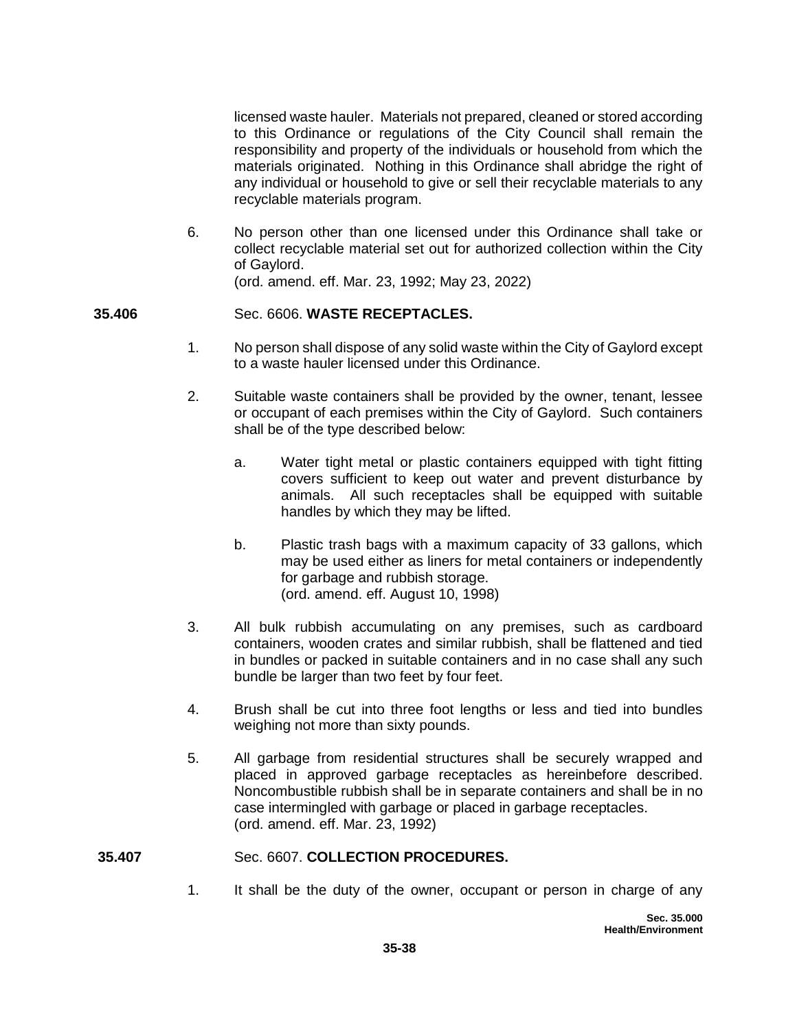licensed waste hauler. Materials not prepared, cleaned or stored according to this Ordinance or regulations of the City Council shall remain the responsibility and property of the individuals or household from which the materials originated. Nothing in this Ordinance shall abridge the right of any individual or household to give or sell their recyclable materials to any recyclable materials program.

6. No person other than one licensed under this Ordinance shall take or collect recyclable material set out for authorized collection within the City of Gaylord. (ord. amend. eff. Mar. 23, 1992; May 23, 2022)

## **35.406** Sec. 6606. **WASTE RECEPTACLES.**

- 1. No person shall dispose of any solid waste within the City of Gaylord except to a waste hauler licensed under this Ordinance.
- 2. Suitable waste containers shall be provided by the owner, tenant, lessee or occupant of each premises within the City of Gaylord. Such containers shall be of the type described below:
	- a. Water tight metal or plastic containers equipped with tight fitting covers sufficient to keep out water and prevent disturbance by animals. All such receptacles shall be equipped with suitable handles by which they may be lifted.
	- b. Plastic trash bags with a maximum capacity of 33 gallons, which may be used either as liners for metal containers or independently for garbage and rubbish storage. (ord. amend. eff. August 10, 1998)
- 3. All bulk rubbish accumulating on any premises, such as cardboard containers, wooden crates and similar rubbish, shall be flattened and tied in bundles or packed in suitable containers and in no case shall any such bundle be larger than two feet by four feet.
- 4. Brush shall be cut into three foot lengths or less and tied into bundles weighing not more than sixty pounds.
- 5. All garbage from residential structures shall be securely wrapped and placed in approved garbage receptacles as hereinbefore described. Noncombustible rubbish shall be in separate containers and shall be in no case intermingled with garbage or placed in garbage receptacles. (ord. amend. eff. Mar. 23, 1992)

#### **35.407** Sec. 6607. **COLLECTION PROCEDURES.**

1. It shall be the duty of the owner, occupant or person in charge of any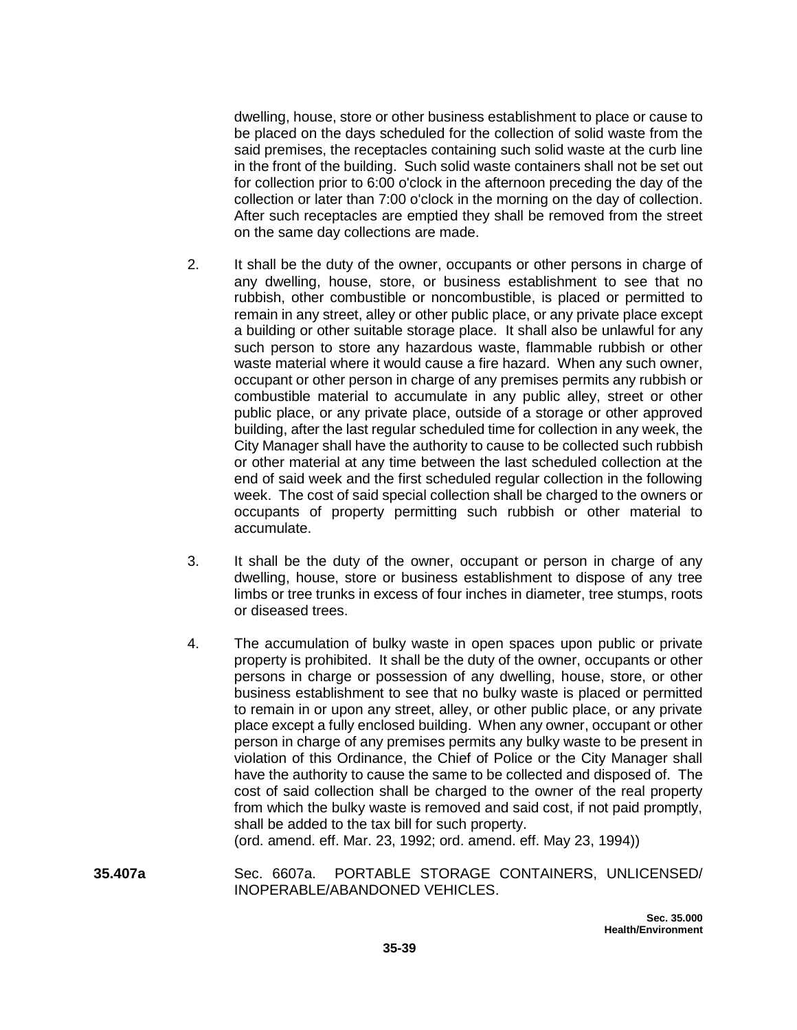dwelling, house, store or other business establishment to place or cause to be placed on the days scheduled for the collection of solid waste from the said premises, the receptacles containing such solid waste at the curb line in the front of the building. Such solid waste containers shall not be set out for collection prior to 6:00 o'clock in the afternoon preceding the day of the collection or later than 7:00 o'clock in the morning on the day of collection. After such receptacles are emptied they shall be removed from the street on the same day collections are made.

- 2. It shall be the duty of the owner, occupants or other persons in charge of any dwelling, house, store, or business establishment to see that no rubbish, other combustible or noncombustible, is placed or permitted to remain in any street, alley or other public place, or any private place except a building or other suitable storage place. It shall also be unlawful for any such person to store any hazardous waste, flammable rubbish or other waste material where it would cause a fire hazard. When any such owner, occupant or other person in charge of any premises permits any rubbish or combustible material to accumulate in any public alley, street or other public place, or any private place, outside of a storage or other approved building, after the last regular scheduled time for collection in any week, the City Manager shall have the authority to cause to be collected such rubbish or other material at any time between the last scheduled collection at the end of said week and the first scheduled regular collection in the following week. The cost of said special collection shall be charged to the owners or occupants of property permitting such rubbish or other material to accumulate.
- 3. It shall be the duty of the owner, occupant or person in charge of any dwelling, house, store or business establishment to dispose of any tree limbs or tree trunks in excess of four inches in diameter, tree stumps, roots or diseased trees.
- 4. The accumulation of bulky waste in open spaces upon public or private property is prohibited. It shall be the duty of the owner, occupants or other persons in charge or possession of any dwelling, house, store, or other business establishment to see that no bulky waste is placed or permitted to remain in or upon any street, alley, or other public place, or any private place except a fully enclosed building. When any owner, occupant or other person in charge of any premises permits any bulky waste to be present in violation of this Ordinance, the Chief of Police or the City Manager shall have the authority to cause the same to be collected and disposed of. The cost of said collection shall be charged to the owner of the real property from which the bulky waste is removed and said cost, if not paid promptly, shall be added to the tax bill for such property.

(ord. amend. eff. Mar. 23, 1992; ord. amend. eff. May 23, 1994))

**35.407a** Sec. 6607a. PORTABLE STORAGE CONTAINERS, UNLICENSED/ INOPERABLE/ABANDONED VEHICLES.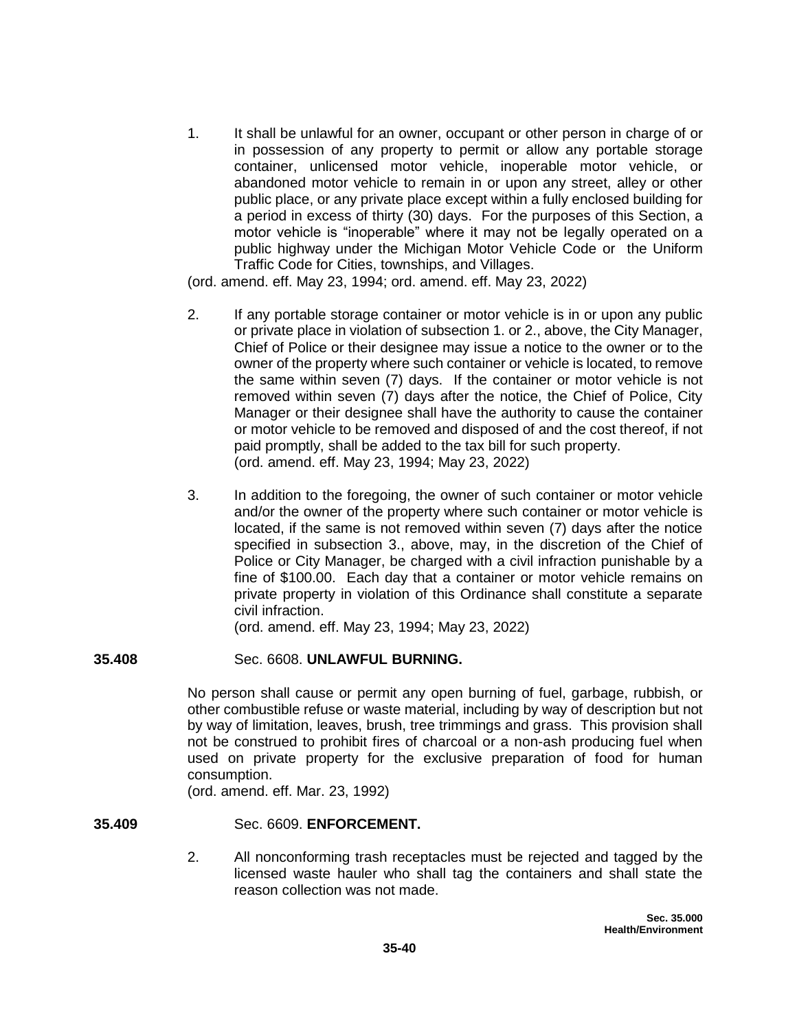1. It shall be unlawful for an owner, occupant or other person in charge of or in possession of any property to permit or allow any portable storage container, unlicensed motor vehicle, inoperable motor vehicle, or abandoned motor vehicle to remain in or upon any street, alley or other public place, or any private place except within a fully enclosed building for a period in excess of thirty (30) days. For the purposes of this Section, a motor vehicle is "inoperable" where it may not be legally operated on a public highway under the Michigan Motor Vehicle Code or the Uniform Traffic Code for Cities, townships, and Villages.

(ord. amend. eff. May 23, 1994; ord. amend. eff. May 23, 2022)

- 2. If any portable storage container or motor vehicle is in or upon any public or private place in violation of subsection 1. or 2., above, the City Manager, Chief of Police or their designee may issue a notice to the owner or to the owner of the property where such container or vehicle is located, to remove the same within seven (7) days. If the container or motor vehicle is not removed within seven (7) days after the notice, the Chief of Police, City Manager or their designee shall have the authority to cause the container or motor vehicle to be removed and disposed of and the cost thereof, if not paid promptly, shall be added to the tax bill for such property. (ord. amend. eff. May 23, 1994; May 23, 2022)
- 3. In addition to the foregoing, the owner of such container or motor vehicle and/or the owner of the property where such container or motor vehicle is located, if the same is not removed within seven (7) days after the notice specified in subsection 3., above, may, in the discretion of the Chief of Police or City Manager, be charged with a civil infraction punishable by a fine of \$100.00. Each day that a container or motor vehicle remains on private property in violation of this Ordinance shall constitute a separate civil infraction.

(ord. amend. eff. May 23, 1994; May 23, 2022)

# **35.408** Sec. 6608. **UNLAWFUL BURNING.**

No person shall cause or permit any open burning of fuel, garbage, rubbish, or other combustible refuse or waste material, including by way of description but not by way of limitation, leaves, brush, tree trimmings and grass. This provision shall not be construed to prohibit fires of charcoal or a non-ash producing fuel when used on private property for the exclusive preparation of food for human consumption.

(ord. amend. eff. Mar. 23, 1992)

#### **35.409** Sec. 6609. **ENFORCEMENT.**

2. All nonconforming trash receptacles must be rejected and tagged by the licensed waste hauler who shall tag the containers and shall state the reason collection was not made.